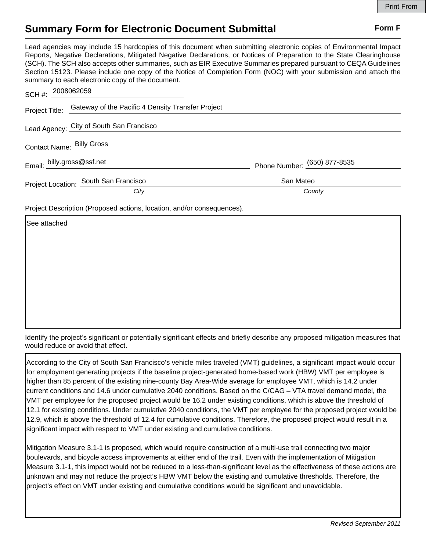## **Summary Form for Electronic Document Submittal Form F Form F**

Lead agencies may include 15 hardcopies of this document when submitting electronic copies of Environmental Impact Reports, Negative Declarations, Mitigated Negative Declarations, or Notices of Preparation to the State Clearinghouse (SCH). The SCH also accepts other summaries, such as EIR Executive Summaries prepared pursuant to CEQA Guidelines Section 15123. Please include one copy of the Notice of Completion Form (NOC) with your submission and attach the summary to each electronic copy of the document.

| SCH #: 2008062059          |                                                                  |                              |
|----------------------------|------------------------------------------------------------------|------------------------------|
|                            | Project Title: Gateway of the Pacific 4 Density Transfer Project |                              |
|                            | Lead Agency: City of South San Francisco                         |                              |
| Contact Name: Billy Gross  |                                                                  |                              |
| Email: billy.gross@ssf.net |                                                                  | Phone Number: (650) 877-8535 |
|                            | Project Location: South San Francisco                            | San Mateo                    |
|                            | City                                                             | County                       |

Project Description (Proposed actions, location, and/or consequences).

See attached

Identify the project's significant or potentially significant effects and briefly describe any proposed mitigation measures that would reduce or avoid that effect.

According to the City of South San Francisco's vehicle miles traveled (VMT) guidelines, a significant impact would occur for employment generating projects if the baseline project-generated home-based work (HBW) VMT per employee is higher than 85 percent of the existing nine-county Bay Area-Wide average for employee VMT, which is 14.2 under current conditions and 14.6 under cumulative 2040 conditions. Based on the C/CAG – VTA travel demand model, the VMT per employee for the proposed project would be 16.2 under existing conditions, which is above the threshold of 12.1 for existing conditions. Under cumulative 2040 conditions, the VMT per employee for the proposed project would be 12.9, which is above the threshold of 12.4 for cumulative conditions. Therefore, the proposed project would result in a significant impact with respect to VMT under existing and cumulative conditions.

Mitigation Measure 3.1-1 is proposed, which would require construction of a multi-use trail connecting two major boulevards, and bicycle access improvements at either end of the trail. Even with the implementation of Mitigation Measure 3.1-1, this impact would not be reduced to a less-than-significant level as the effectiveness of these actions are unknown and may not reduce the project's HBW VMT below the existing and cumulative thresholds. Therefore, the project's effect on VMT under existing and cumulative conditions would be significant and unavoidable.